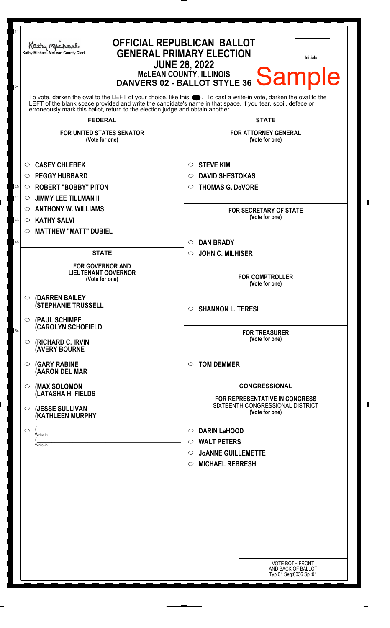| 11<br>21 | <b>OFFICIAL REPUBLICAN BALLOT</b><br>Kathy Michael<br><b>GENERAL PRIMARY ELECTION</b><br>Kathy Michael, McLean County Clerk<br><b>Initials</b><br><b>JUNE 28, 2022</b><br>MCLEAN COUNTY, ILLINOIS DANVERS 02 - BALLOT STYLE 36 Sample                                                                                  |                                                                                                                                              |
|----------|------------------------------------------------------------------------------------------------------------------------------------------------------------------------------------------------------------------------------------------------------------------------------------------------------------------------|----------------------------------------------------------------------------------------------------------------------------------------------|
|          | To vote, darken the oval to the LEFT of your choice, like this $\bullet$ . To cast a write-in vote, darken the oval to the LEFT of the blank space provided and write the candidate's name in that space. If you tear, spoil, deface<br>erroneously mark this ballot, return to the election judge and obtain another. |                                                                                                                                              |
|          | <b>FEDERAL</b>                                                                                                                                                                                                                                                                                                         | <b>STATE</b>                                                                                                                                 |
|          | <b>FOR UNITED STATES SENATOR</b><br>(Vote for one)                                                                                                                                                                                                                                                                     | <b>FOR ATTORNEY GENERAL</b><br>(Vote for one)                                                                                                |
| 40       | <b>CASEY CHLEBEK</b><br>$\circ$<br><b>PEGGY HUBBARD</b><br>$\circ$<br><b>ROBERT "BOBBY" PITON</b><br>$\circ$                                                                                                                                                                                                           | <b>STEVE KIM</b><br>O<br><b>DAVID SHESTOKAS</b><br>$\circ$<br><b>THOMAS G. DeVORE</b><br>$\circ$                                             |
| 41<br>43 | <b>JIMMY LEE TILLMAN II</b><br>O<br><b>ANTHONY W. WILLIAMS</b><br>$\circ$<br><b>KATHY SALVI</b><br>$\circ$<br><b>MATTHEW "MATT" DUBIEL</b><br>$\circ$                                                                                                                                                                  | <b>FOR SECRETARY OF STATE</b><br>(Vote for one)                                                                                              |
| 45       |                                                                                                                                                                                                                                                                                                                        | <b>DAN BRADY</b><br>$\circ$                                                                                                                  |
|          | <b>STATE</b>                                                                                                                                                                                                                                                                                                           | <b>JOHN C. MILHISER</b><br>$\circ$                                                                                                           |
|          | <b>FOR GOVERNOR AND</b><br><b>LIEUTENANT GOVERNOR</b><br>(Vote for one)                                                                                                                                                                                                                                                | <b>FOR COMPTROLLER</b><br>(Vote for one)                                                                                                     |
|          | (DARREN BAILEY<br>O<br><b>(STEPHANIE TRUSSELL</b>                                                                                                                                                                                                                                                                      | <b>SHANNON L. TERESI</b><br>$\circ$                                                                                                          |
| 54       | $\circ$ (PAUL SCHIMPF<br><b>(CAROLYN SCHOFIELD</b><br>(RICHARD C. IRVIN<br>$\circ$<br><b>(AVERY BOURNE</b>                                                                                                                                                                                                             | <b>FOR TREASURER</b><br>(Vote for one)                                                                                                       |
|          | <b>(GARY RABINE</b><br>O<br>(AARON DEL MAR                                                                                                                                                                                                                                                                             | <b>TOM DEMMER</b><br>$\circ$                                                                                                                 |
|          | (MAX SOLOMON<br>O                                                                                                                                                                                                                                                                                                      | <b>CONGRESSIONAL</b>                                                                                                                         |
|          | (LATASHA H. FIELDS<br>(JESSE SULLIVAN<br>$\circ$<br>(KATHLEEN MURPHY                                                                                                                                                                                                                                                   | FOR REPRESENTATIVE IN CONGRESS<br>SIXTEENTH CONGRESSIONAL DISTRICT<br>(Vote for one)                                                         |
|          | $\circ$<br>Write-in<br>Write-in                                                                                                                                                                                                                                                                                        | <b>DARIN LaHOOD</b><br>$\circ$<br><b>WALT PETERS</b><br>$\circ$<br><b>JOANNE GUILLEMETTE</b><br>$\circ$<br><b>MICHAEL REBRESH</b><br>$\circ$ |
|          |                                                                                                                                                                                                                                                                                                                        |                                                                                                                                              |
|          |                                                                                                                                                                                                                                                                                                                        | <b>VOTE BOTH FRONT</b><br>AND BACK OF BALLOT<br>Typ:01 Seq:0036 Spl:01                                                                       |